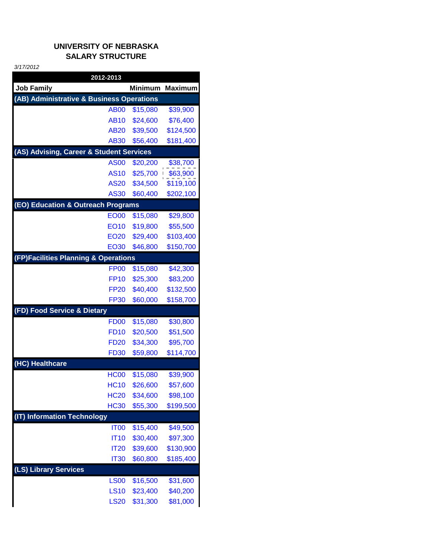## **UNIVERSITY OF NEBRASKA SALARY STRUCTURE**

*3/17/2012*

| 2012-2013                                 |                |                |  |  |
|-------------------------------------------|----------------|----------------|--|--|
| <b>Job Family</b>                         | <b>Minimum</b> | <b>Maximum</b> |  |  |
| (AB) Administrative & Business Operations |                |                |  |  |
| <b>AB00</b>                               | \$15,080       | \$39,900       |  |  |
| <b>AB10</b>                               | \$24,600       | \$76,400       |  |  |
| <b>AB20</b>                               | \$39,500       | \$124,500      |  |  |
| <b>AB30</b>                               | \$56,400       | \$181,400      |  |  |
| (AS) Advising, Career & Student Services  |                |                |  |  |
| <b>AS00</b>                               | \$20,200       | \$38,700       |  |  |
| <b>AS10</b>                               | \$25,700       | \$63,900       |  |  |
| <b>AS20</b>                               | \$34,500       | \$119,100      |  |  |
| <b>AS30</b>                               | \$60,400       | \$202,100      |  |  |
| (EO) Education & Outreach Programs        |                |                |  |  |
| <b>EO00</b>                               | \$15,080       | \$29,800       |  |  |
| <b>EO10</b>                               | \$19,800       | \$55,500       |  |  |
| <b>EO20</b>                               | \$29,400       | \$103,400      |  |  |
| <b>EO30</b>                               | \$46,800       | \$150,700      |  |  |
| (FP)Facilities Planning & Operations      |                |                |  |  |
| <b>FP00</b>                               | \$15,080       | \$42,300       |  |  |
| <b>FP10</b>                               | \$25,300       | \$83,200       |  |  |
| <b>FP20</b>                               | \$40,400       | \$132,500      |  |  |
| <b>FP30</b>                               | \$60,000       | \$158,700      |  |  |
| (FD) Food Service & Dietary               |                |                |  |  |
| <b>FD00</b>                               | \$15,080       | \$30,800       |  |  |
| <b>FD10</b>                               | \$20,500       | \$51,500       |  |  |
| <b>FD20</b>                               | \$34,300       | \$95,700       |  |  |
| <b>FD30</b>                               | \$59,800       | \$114,700      |  |  |
| (HC) Healthcare                           |                |                |  |  |
| <b>HC00</b>                               | \$15,080       | \$39,900       |  |  |
| <b>HC10</b>                               | \$26,600       | \$57,600       |  |  |
| <b>HC20</b>                               | \$34,600       | \$98,100       |  |  |
| <b>HC30</b>                               | \$55,300       | \$199,500      |  |  |
| (IT) Information Technology               |                |                |  |  |
| <b>IT00</b>                               | \$15,400       | \$49,500       |  |  |
| <b>IT10</b>                               | \$30,400       | \$97,300       |  |  |
| <b>IT20</b>                               | \$39,600       | \$130,900      |  |  |
| <b>IT30</b>                               | \$60,800       | \$185,400      |  |  |
| (LS) Library Services                     |                |                |  |  |
| <b>LS00</b>                               | \$16,500       | \$31,600       |  |  |
| <b>LS10</b>                               | \$23,400       | \$40,200       |  |  |
| <b>LS20</b>                               | \$31,300       | \$81,000       |  |  |